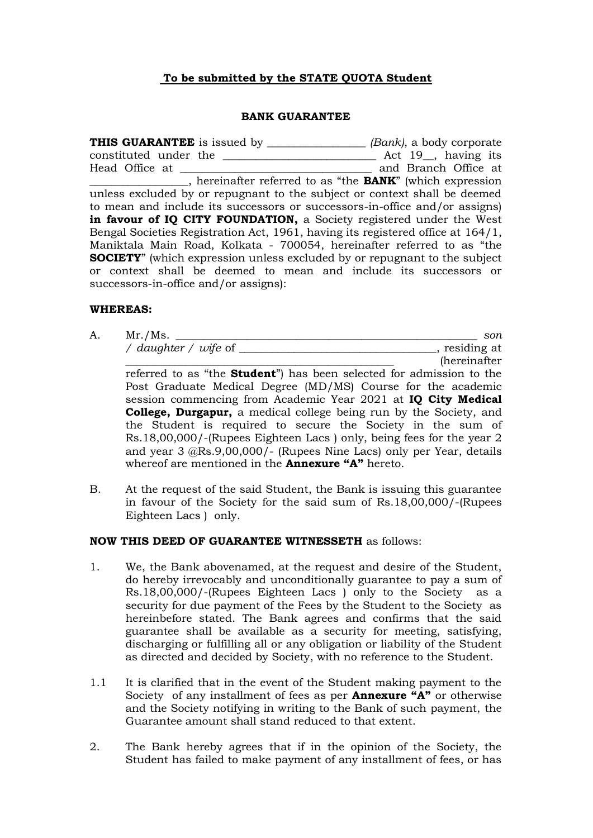## **To be submitted by the STATE QUOTA Student**

### **BANK GUARANTEE**

**THIS GUARANTEE** is issued by \_\_\_\_\_\_\_\_\_\_\_\_\_\_\_\_\_\_ *(Bank)*, a body corporate constituted under the \_\_\_\_\_\_\_\_\_\_\_\_\_\_\_\_\_\_\_\_\_\_\_\_\_\_\_\_ Act 19\_\_, having its Head Office at \_\_\_\_\_\_\_\_\_\_\_\_\_\_\_\_\_\_\_\_\_\_\_\_\_\_\_\_\_\_\_\_\_\_\_ and Branch Office at \_\_\_\_\_\_\_\_\_\_\_\_\_\_\_\_\_\_, hereinafter referred to as "the **BANK**" (which expression unless excluded by or repugnant to the subject or context shall be deemed to mean and include its successors or successors-in-office and/or assigns) in favour of IQ CITY FOUNDATION, a Society registered under the West Bengal Societies Registration Act, 1961, having its registered office at 164/1, Maniktala Main Road, Kolkata - 700054, hereinafter referred to as "the **SOCIETY**" (which expression unless excluded by or repugnant to the subject or context shall be deemed to mean and include its successors or successors-in-office and/or assigns):

### **WHEREAS:**

A. Mr./Ms. \_\_\_\_\_\_\_\_\_\_\_\_\_\_\_\_\_\_\_\_\_\_\_\_\_\_\_\_\_\_\_\_\_\_\_\_\_\_\_\_\_\_\_\_\_\_\_\_\_\_\_\_\_\_\_ *son / daughter / wife* of \_\_\_\_\_\_\_\_\_\_\_\_\_\_\_\_\_\_\_\_\_\_\_\_\_\_\_\_\_\_\_\_\_\_\_\_, residing at  $(hereinafter)$ 

referred to as "the **Student**") has been selected for admission to the Post Graduate Medical Degree (MD/MS) Course for the academic session commencing from Academic Year 2021 at **IQ City Medical College, Durgapur,** a medical college being run by the Society, and the Student is required to secure the Society in the sum of Rs.18,00,000/-(Rupees Eighteen Lacs ) only, being fees for the year 2 and year 3 @Rs.9,00,000/- (Rupees Nine Lacs) only per Year, details whereof are mentioned in the **Annexure "A"** hereto.

B. At the request of the said Student, the Bank is issuing this guarantee in favour of the Society for the said sum of Rs.18,00,000/-(Rupees Eighteen Lacs ) only.

### **NOW THIS DEED OF GUARANTEE WITNESSETH** as follows:

- 1. We, the Bank abovenamed, at the request and desire of the Student, do hereby irrevocably and unconditionally guarantee to pay a sum of Rs.18,00,000/-(Rupees Eighteen Lacs ) only to the Society as a security for due payment of the Fees by the Student to the Society as hereinbefore stated. The Bank agrees and confirms that the said guarantee shall be available as a security for meeting, satisfying, discharging or fulfilling all or any obligation or liability of the Student as directed and decided by Society, with no reference to the Student.
- 1.1 It is clarified that in the event of the Student making payment to the Society of any installment of fees as per **Annexure "A"** or otherwise and the Society notifying in writing to the Bank of such payment, the Guarantee amount shall stand reduced to that extent.
- 2. The Bank hereby agrees that if in the opinion of the Society, the Student has failed to make payment of any installment of fees, or has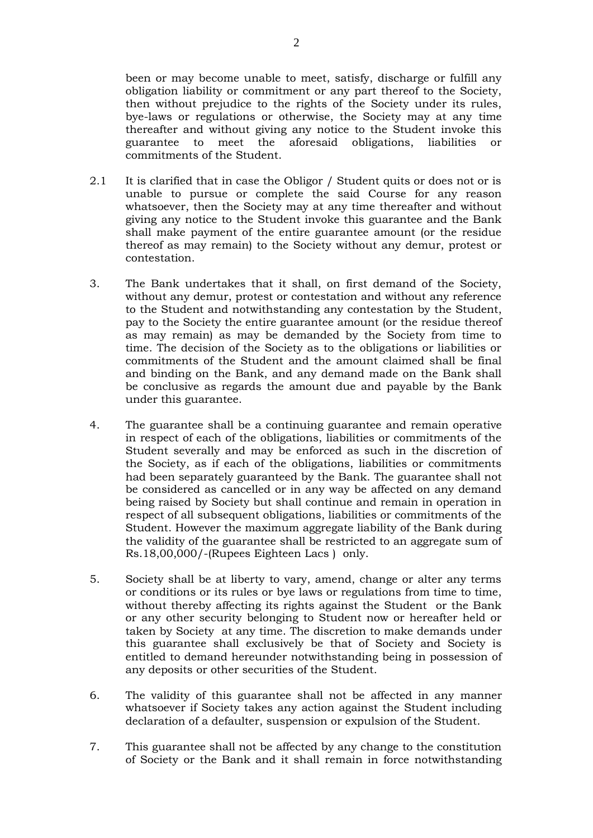been or may become unable to meet, satisfy, discharge or fulfill any obligation liability or commitment or any part thereof to the Society, then without prejudice to the rights of the Society under its rules, bye-laws or regulations or otherwise, the Society may at any time thereafter and without giving any notice to the Student invoke this guarantee to meet the aforesaid obligations, liabilities or commitments of the Student.

- 2.1 It is clarified that in case the Obligor / Student quits or does not or is unable to pursue or complete the said Course for any reason whatsoever, then the Society may at any time thereafter and without giving any notice to the Student invoke this guarantee and the Bank shall make payment of the entire guarantee amount (or the residue thereof as may remain) to the Society without any demur, protest or contestation.
- 3. The Bank undertakes that it shall, on first demand of the Society, without any demur, protest or contestation and without any reference to the Student and notwithstanding any contestation by the Student, pay to the Society the entire guarantee amount (or the residue thereof as may remain) as may be demanded by the Society from time to time. The decision of the Society as to the obligations or liabilities or commitments of the Student and the amount claimed shall be final and binding on the Bank, and any demand made on the Bank shall be conclusive as regards the amount due and payable by the Bank under this guarantee.
- 4. The guarantee shall be a continuing guarantee and remain operative in respect of each of the obligations, liabilities or commitments of the Student severally and may be enforced as such in the discretion of the Society, as if each of the obligations, liabilities or commitments had been separately guaranteed by the Bank. The guarantee shall not be considered as cancelled or in any way be affected on any demand being raised by Society but shall continue and remain in operation in respect of all subsequent obligations, liabilities or commitments of the Student. However the maximum aggregate liability of the Bank during the validity of the guarantee shall be restricted to an aggregate sum of Rs.18,00,000/-(Rupees Eighteen Lacs ) only.
- 5. Society shall be at liberty to vary, amend, change or alter any terms or conditions or its rules or bye laws or regulations from time to time, without thereby affecting its rights against the Student or the Bank or any other security belonging to Student now or hereafter held or taken by Society at any time. The discretion to make demands under this guarantee shall exclusively be that of Society and Society is entitled to demand hereunder notwithstanding being in possession of any deposits or other securities of the Student.
- 6. The validity of this guarantee shall not be affected in any manner whatsoever if Society takes any action against the Student including declaration of a defaulter, suspension or expulsion of the Student.
- 7. This guarantee shall not be affected by any change to the constitution of Society or the Bank and it shall remain in force notwithstanding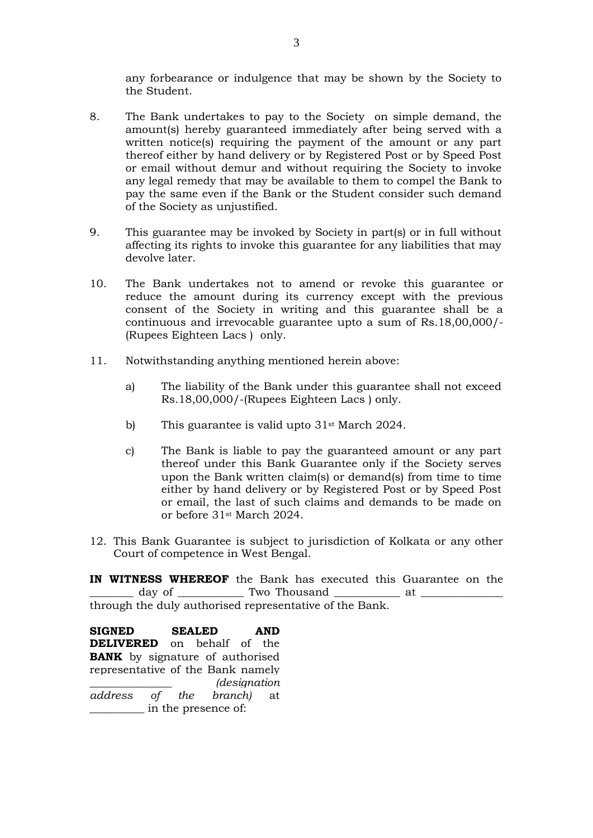any forbearance or indulgence that may be shown by the Society to the Student.

- 8. The Bank undertakes to pay to the Society on simple demand, the amount(s) hereby guaranteed immediately after being served with a written notice(s) requiring the payment of the amount or any part thereof either by hand delivery or by Registered Post or by Speed Post or email without demur and without requiring the Society to invoke any legal remedy that may be available to them to compel the Bank to pay the same even if the Bank or the Student consider such demand of the Society as unjustified.
- 9. This guarantee may be invoked by Society in part(s) or in full without affecting its rights to invoke this guarantee for any liabilities that may devolve later.
- 10. The Bank undertakes not to amend or revoke this guarantee or reduce the amount during its currency except with the previous consent of the Society in writing and this guarantee shall be a continuous and irrevocable guarantee upto a sum of Rs.18,00,000/- (Rupees Eighteen Lacs ) only.
- 11. Notwithstanding anything mentioned herein above:
	- a) The liability of the Bank under this guarantee shall not exceed Rs.18,00,000/-(Rupees Eighteen Lacs ) only.
	- b) This guarantee is valid upto  $31$ <sup>st</sup> March 2024.
	- c) The Bank is liable to pay the guaranteed amount or any part thereof under this Bank Guarantee only if the Society serves upon the Bank written claim(s) or demand(s) from time to time either by hand delivery or by Registered Post or by Speed Post or email, the last of such claims and demands to be made on or before 31st March 2024.
- 12. This Bank Guarantee is subject to jurisdiction of Kolkata or any other Court of competence in West Bengal.

**IN WITNESS WHEREOF** the Bank has executed this Guarantee on the day of \_\_\_\_\_\_\_\_\_\_\_\_\_ Two Thousand \_\_\_\_\_\_\_\_\_\_\_\_\_\_ at \_ through the duly authorised representative of the Bank.

**SIGNED SEALED AND DELIVERED** on behalf of the **BANK** by signature of authorised representative of the Bank namely \_\_\_\_\_\_\_\_\_\_\_\_\_\_\_ *(designation address of the branch)* at \_\_\_\_\_\_\_\_\_\_ in the presence of: